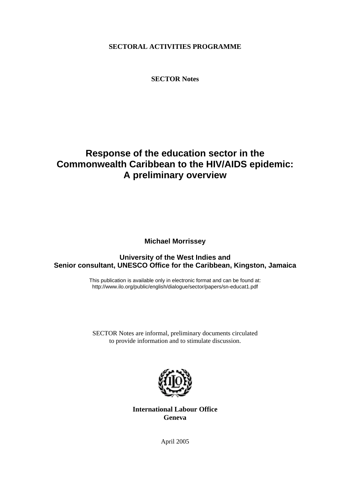**SECTORAL ACTIVITIES PROGRAMME** 

**SECTOR Notes** 

# **Response of the education sector in the Commonwealth Caribbean to the HIV/AIDS epidemic: A preliminary overview**

**Michael Morrissey** 

# **University of the West Indies and Senior consultant, UNESCO Office for the Caribbean, Kingston, Jamaica**

This publication is available only in electronic format and can be found at: http://www.ilo.org/public/english/dialogue/sector/papers/sn-educat1.pdf

SECTOR Notes are informal, preliminary documents circulated to provide information and to stimulate discussion.



**International Labour Office Geneva** 

April 2005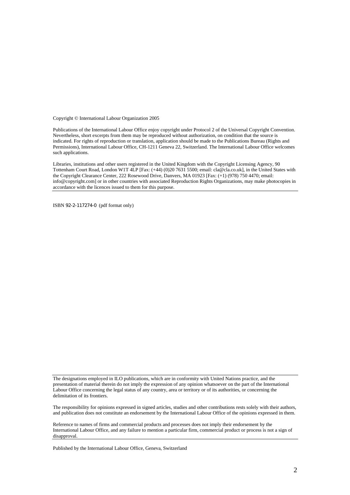Copyright © International Labour Organization 2005

Publications of the International Labour Office enjoy copyright under Protocol 2 of the Universal Copyright Convention. Nevertheless, short excerpts from them may be reproduced without authorization, on condition that the source is indicated. For rights of reproduction or translation, application should be made to the Publications Bureau (Rights and Permissions), International Labour Office, CH-1211 Geneva 22, Switzerland. The International Labour Office welcomes such applications.

Libraries, institutions and other users registered in the United Kingdom with the Copyright Licensing Agency, 90 Tottenham Court Road, London W1T 4LP [Fax: (+44) (0)20 7631 5500; email: cla@cla.co.uk], in the United States with the Copyright Clearance Center, 222 Rosewood Drive, Danvers, MA 01923 [Fax: (+1) (978) 750 4470; email: info@copyright.com] or in other countries with associated Reproduction Rights Organizations, may make photocopies in accordance with the licences issued to them for this purpose.

ISBN 92-2-117274-0 (pdf format only)

The designations employed in ILO publications, which are in conformity with United Nations practice, and the presentation of material therein do not imply the expression of any opinion whatsoever on the part of the International Labour Office concerning the legal status of any country, area or territory or of its authorities, or concerning the delimitation of its frontiers.

The responsibility for opinions expressed in signed articles, studies and other contributions rests solely with their authors, and publication does not constitute an endorsement by the International Labour Office of the opinions expressed in them.

Reference to names of firms and commercial products and processes does not imply their endorsement by the International Labour Office, and any failure to mention a particular firm, commercial product or process is not a sign of disapproval.

Published by the International Labour Office, Geneva, Switzerland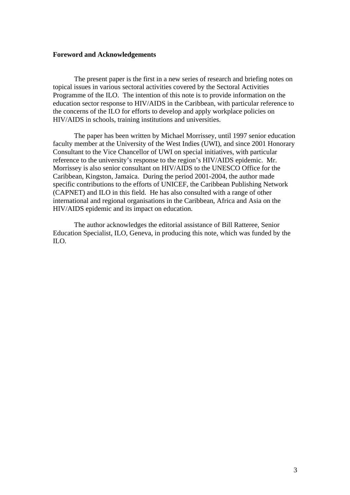# **Foreword and Acknowledgements**

The present paper is the first in a new series of research and briefing notes on topical issues in various sectoral activities covered by the Sectoral Activities Programme of the ILO. The intention of this note is to provide information on the education sector response to HIV/AIDS in the Caribbean, with particular reference to the concerns of the ILO for efforts to develop and apply workplace policies on HIV/AIDS in schools, training institutions and universities.

The paper has been written by Michael Morrissey, until 1997 senior education faculty member at the University of the West Indies (UWI), and since 2001 Honorary Consultant to the Vice Chancellor of UWI on special initiatives, with particular reference to the university's response to the region's HIV/AIDS epidemic. Mr. Morrissey is also senior consultant on HIV/AIDS to the UNESCO Office for the Caribbean, Kingston, Jamaica. During the period 2001-2004, the author made specific contributions to the efforts of UNICEF, the Caribbean Publishing Network (CAPNET) and ILO in this field. He has also consulted with a range of other international and regional organisations in the Caribbean, Africa and Asia on the HIV/AIDS epidemic and its impact on education.

 The author acknowledges the editorial assistance of Bill Ratteree, Senior Education Specialist, ILO, Geneva, in producing this note, which was funded by the ILO.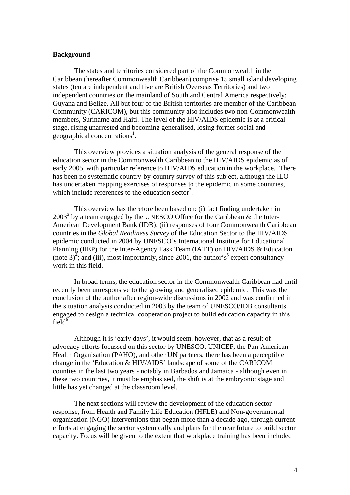# **Background**

 The states and territories considered part of the Commonwealth in the Caribbean (hereafter Commonwealth Caribbean) comprise 15 small island developing states (ten are independent and five are British Overseas Territories) and two independent countries on the mainland of South and Central America respectively: Guyana and Belize. All but four of the British territories are member of the Caribbean Community (CARICOM), but this community also includes two non-Commonwealth members, Suriname and Haiti. The level of the HIV/AIDS epidemic is at a critical stage, rising unarrested and becoming generalised, losing former social and geographical concentrations<sup>1</sup>.

 This overview provides a situation analysis of the general response of the education sector in the Commonwealth Caribbean to the HIV/AIDS epidemic as of early 2005, with particular reference to HIV/AIDS education in the workplace. There has been no systematic country-by-country survey of this subject, although the ILO has undertaken mapping exercises of responses to the epidemic in some countries, which include references to the education sector<sup>2</sup>.

 This overview has therefore been based on: (i) fact finding undertaken in  $2003<sup>3</sup>$  by a team engaged by the UNESCO Office for the Caribbean & the Inter-American Development Bank (IDB); (ii) responses of four Commonwealth Caribbean countries in the *Global Readiness Survey* of the Education Sector to the HIV/AIDS epidemic conducted in 2004 by UNESCO's International Institute for Educational Planning (IIEP) for the Inter-Agency Task Team (IATT) on HIV/AIDS & Education (note 3)<sup>4</sup>; and (iii), most importantly, since 2001, the author's<sup>5</sup> expert consultancy work in this field.

 In broad terms, the education sector in the Commonwealth Caribbean had until recently been unresponsive to the growing and generalised epidemic. This was the conclusion of the author after region-wide discussions in 2002 and was confirmed in the situation analysis conducted in 2003 by the team of UNESCO/IDB consultants engaged to design a technical cooperation project to build education capacity in this field $\overline{6}$ .

 Although it is 'early days', it would seem, however, that as a result of advocacy efforts focussed on this sector by UNESCO, UNICEF, the Pan-American Health Organisation (PAHO), and other UN partners, there has been a perceptible change in the 'Education & HIV/AIDS*'* landscape of some of the CARICOM counties in the last two years - notably in Barbados and Jamaica - although even in these two countries, it must be emphasised, the shift is at the embryonic stage and little has yet changed at the classroom level.

 The next sections will review the development of the education sector response, from Health and Family Life Education (HFLE) and Non-governmental organisation (NGO) interventions that began more than a decade ago, through current efforts at engaging the sector systemically and plans for the near future to build sector capacity. Focus will be given to the extent that workplace training has been included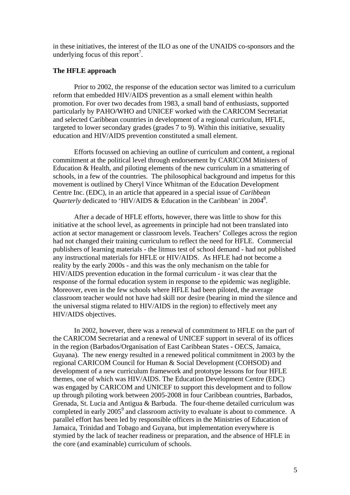in these initiatives, the interest of the ILO as one of the UNAIDS co-sponsors and the underlying focus of this report<sup>7</sup>.

# **The HFLE approach**

 Prior to 2002, the response of the education sector was limited to a curriculum reform that embedded HIV/AIDS prevention as a small element within health promotion. For over two decades from 1983, a small band of enthusiasts, supported particularly by PAHO/WHO and UNICEF worked with the CARICOM Secretariat and selected Caribbean countries in development of a regional curriculum, HFLE, targeted to lower secondary grades (grades 7 to 9). Within this initiative, sexuality education and HIV/AIDS prevention constituted a small element.

 Efforts focussed on achieving an outline of curriculum and content, a regional commitment at the political level through endorsement by CARICOM Ministers of Education & Health, and piloting elements of the new curriculum in a smattering of schools, in a few of the countries. The philosophical background and impetus for this movement is outlined by Cheryl Vince Whitman of the Education Development Centre Inc. (EDC), in an article that appeared in a special issue of *Caribbean*  Quarterly dedicated to 'HIV/AIDS & Education in the Caribbean' in 2004<sup>8</sup>.

 After a decade of HFLE efforts, however, there was little to show for this initiative at the school level, as agreements in principle had not been translated into action at sector management or classroom levels. Teachers' Colleges across the region had not changed their training curriculum to reflect the need for HFLE. Commercial publishers of learning materials - the litmus test of school demand - had not published any instructional materials for HFLE or HIV/AIDS. As HFLE had not become a reality by the early 2000s - and this was the only mechanism on the table for HIV/AIDS prevention education in the formal curriculum - it was clear that the response of the formal education system in response to the epidemic was negligible. Moreover, even in the few schools where HFLE had been piloted, the average classroom teacher would not have had skill nor desire (bearing in mind the silence and the universal stigma related to HIV/AIDS in the region) to effectively meet any HIV/AIDS objectives.

 In 2002, however, there was a renewal of commitment to HFLE on the part of the CARICOM Secretariat and a renewal of UNICEF support in several of its offices in the region (Barbados/Organisation of East Caribbean States - OECS, Jamaica, Guyana). The new energy resulted in a renewed political commitment in 2003 by the regional CARICOM Council for Human & Social Development (COHSOD) and development of a new curriculum framework and prototype lessons for four HFLE themes, one of which was HIV/AIDS. The Education Development Centre (EDC) was engaged by CARICOM and UNICEF to support this development and to follow up through piloting work between 2005-2008 in four Caribbean countries, Barbados, Grenada, St. Lucia and Antigua & Barbuda. The four-theme detailed curriculum was completed in early 2005 $^9$  and classroom activity to evaluate is about to commence. A parallel effort has been led by responsible officers in the Ministries of Education of Jamaica, Trinidad and Tobago and Guyana, but implementation everywhere is stymied by the lack of teacher readiness or preparation, and the absence of HFLE in the core (and examinable) curriculum of schools.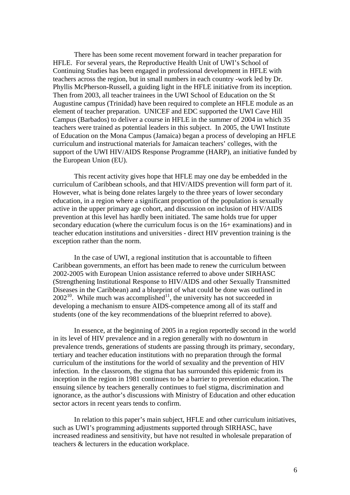There has been some recent movement forward in teacher preparation for HFLE. For several years, the Reproductive Health Unit of UWI's School of Continuing Studies has been engaged in professional development in HFLE with teachers across the region, but in small numbers in each country -work led by Dr. Phyllis McPherson-Russell, a guiding light in the HFLE initiative from its inception. Then from 2003, all teacher trainees in the UWI School of Education on the St Augustine campus (Trinidad) have been required to complete an HFLE module as an element of teacher preparation. UNICEF and EDC supported the UWI Cave Hill Campus (Barbados) to deliver a course in HFLE in the summer of 2004 in which 35 teachers were trained as potential leaders in this subject. In 2005, the UWI Institute of Education on the Mona Campus (Jamaica) began a process of developing an HFLE curriculum and instructional materials for Jamaican teachers' colleges, with the support of the UWI HIV/AIDS Response Programme (HARP), an initiative funded by the European Union (EU).

 This recent activity gives hope that HFLE may one day be embedded in the curriculum of Caribbean schools, and that HIV/AIDS prevention will form part of it. However, what is being done relates largely to the three years of lower secondary education, in a region where a significant proportion of the population is sexually active in the upper primary age cohort, and discussion on inclusion of HIV/AIDS prevention at this level has hardly been initiated. The same holds true for upper secondary education (where the curriculum focus is on the 16+ examinations) and in teacher education institutions and universities - direct HIV prevention training is the exception rather than the norm.

 In the case of UWI, a regional institution that is accountable to fifteen Caribbean governments, an effort has been made to renew the curriculum between 2002-2005 with European Union assistance referred to above under SIRHASC (Strengthening Institutional Response to HIV/AIDS and other Sexually Transmitted Diseases in the Caribbean) and a blueprint of what could be done was outlined in  $2002^{10}$ . While much was accomplished<sup>11</sup>, the university has not succeeded in developing a mechanism to ensure AIDS-competence among all of its staff and students (one of the key recommendations of the blueprint referred to above).

 In essence, at the beginning of 2005 in a region reportedly second in the world in its level of HIV prevalence and in a region generally with no downturn in prevalence trends, generations of students are passing through its primary, secondary, tertiary and teacher education institutions with no preparation through the formal curriculum of the institutions for the world of sexuality and the prevention of HIV infection. In the classroom, the stigma that has surrounded this epidemic from its inception in the region in 1981 continues to be a barrier to prevention education. The ensuing silence by teachers generally continues to fuel stigma, discrimination and ignorance, as the author's discussions with Ministry of Education and other education sector actors in recent years tends to confirm.

 In relation to this paper's main subject, HFLE and other curriculum initiatives, such as UWI's programming adjustments supported through SIRHASC, have increased readiness and sensitivity, but have not resulted in wholesale preparation of teachers & lecturers in the education workplace.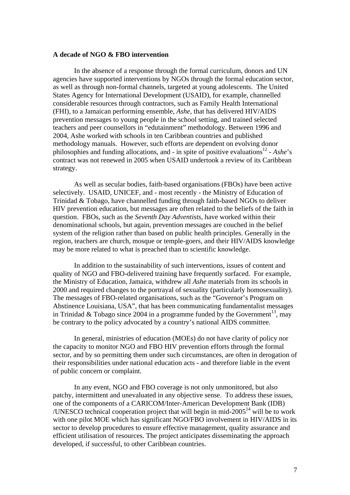# **A decade of NGO & FBO intervention**

 In the absence of a response through the formal curriculum, donors and UN agencies have supported interventions by NGOs through the formal education sector, as well as through non-formal channels, targeted at young adolescents. The United States Agency for International Development (USAID), for example, channelled considerable resources through contractors, such as Family Health International (FHI), to a Jamaican performing ensemble, *Ashe*, that has delivered HIV/AIDS prevention messages to young people in the school setting, and trained selected teachers and peer counsellors in "edutainment" methodology. Between 1996 and 2004, Ashe worked with schools in ten Caribbean countries and published methodology manuals. However, such efforts are dependent on evolving donor philosophies and funding allocations, and - in spite of positive evaluations<sup>12</sup> - *Ashe*'s contract was not renewed in 2005 when USAID undertook a review of its Caribbean strategy.

 As well as secular bodies, faith-based organisations (FBOs) have been active selectively. USAID, UNICEF, and - most recently - the Ministry of Education of Trinidad & Tobago, have channelled funding through faith-based NGOs to deliver HIV prevention education, but messages are often related to the beliefs of the faith in question. FBOs, such as the *Seventh Day Adventists*, have worked within their denominational schools, but again, prevention messages are couched in the belief system of the religion rather than based on public health principles. Generally in the region, teachers are church, mosque or temple-goers, and their HIV/AIDS knowledge may be more related to what is preached than to scientific knowledge.

 In addition to the sustainability of such interventions, issues of content and quality of NGO and FBO-delivered training have frequently surfaced. For example, the Ministry of Education, Jamaica, withdrew all *Ashe* materials from its schools in 2000 and required changes to the portrayal of sexuality (particularly homosexuality). The messages of FBO-related organisations, such as the "Governor's Program on Abstinence Louisiana, USA", that has been communicating fundamentalist messages in Trinidad & Tobago since 2004 in a programme funded by the Government<sup>13</sup>, may be contrary to the policy advocated by a country's national AIDS committee.

 In general, ministries of education (MOEs) do not have clarity of policy nor the capacity to monitor NGO and FBO HIV prevention efforts through the formal sector, and by so permitting them under such circumstances, are often in derogation of their responsibilities under national education acts - and therefore liable in the event of public concern or complaint.

 In any event, NGO and FBO coverage is not only unmonitored, but also patchy, intermittent and unevaluated in any objective sense. To address these issues, one of the components of a CARICOM/Inter-American Development Bank (IDB) /UNESCO technical cooperation project that will begin in mid- $2005<sup>14</sup>$  will be to work with one pilot MOE which has significant NGO/FBO involvement in HIV/AIDS in its sector to develop procedures to ensure effective management, quality assurance and efficient utilisation of resources. The project anticipates disseminating the approach developed, if successful, to other Caribbean countries.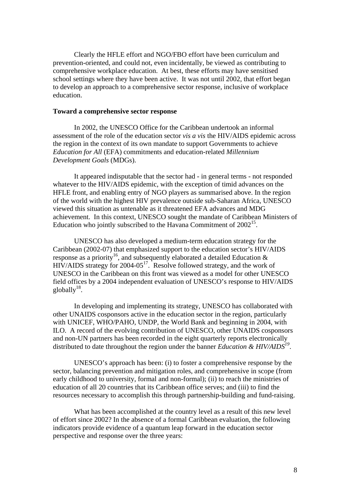Clearly the HFLE effort and NGO/FBO effort have been curriculum and prevention-oriented, and could not, even incidentally, be viewed as contributing to comprehensive workplace education. At best, these efforts may have sensitised school settings where they have been active. It was not until 2002, that effort began to develop an approach to a comprehensive sector response, inclusive of workplace education.

#### **Toward a comprehensive sector response**

 In 2002, the UNESCO Office for the Caribbean undertook an informal assessment of the role of the education sector *vis a vis* the HIV/AIDS epidemic across the region in the context of its own mandate to support Governments to achieve *Education for All* (EFA) commitments and education-related *Millennium Development Goals* (MDGs).

 It appeared indisputable that the sector had - in general terms - not responded whatever to the HIV/AIDS epidemic, with the exception of timid advances on the HFLE front, and enabling entry of NGO players as summarised above. In the region of the world with the highest HIV prevalence outside sub-Saharan Africa, UNESCO viewed this situation as untenable as it threatened EFA advances and MDG achievement. In this context, UNESCO sought the mandate of Caribbean Ministers of Education who jointly subscribed to the Havana Commitment of 2002<sup>15</sup>.

 UNESCO has also developed a medium-term education strategy for the Caribbean (2002-07) that emphasized support to the education sector's HIV/AIDS response as a priority<sup>16</sup>, and subsequently elaborated a detailed Education  $\&$ HIV/AIDS strategy for  $2004-05^{17}$ . Resolve followed strategy, and the work of UNESCO in the Caribbean on this front was viewed as a model for other UNESCO field offices by a 2004 independent evaluation of UNESCO's response to HIV/AIDS globally $18$ .

 In developing and implementing its strategy, UNESCO has collaborated with other UNAIDS cosponsors active in the education sector in the region, particularly with UNICEF, WHO/PAHO, UNDP, the World Bank and beginning in 2004, with ILO. A record of the evolving contribution of UNESCO, other UNAIDS cosponsors and non-UN partners has been recorded in the eight quarterly reports electronically distributed to date throughout the region under the banner *Education & HIV/AIDS<sup>19</sup>*.

 UNESCO's approach has been: (i) to foster a comprehensive response by the sector, balancing prevention and mitigation roles, and comprehensive in scope (from early childhood to university, formal and non-formal); (ii) to reach the ministries of education of all 20 countries that its Caribbean office serves; and (iii) to find the resources necessary to accomplish this through partnership-building and fund-raising.

 What has been accomplished at the country level as a result of this new level of effort since 2002? In the absence of a formal Caribbean evaluation, the following indicators provide evidence of a quantum leap forward in the education sector perspective and response over the three years: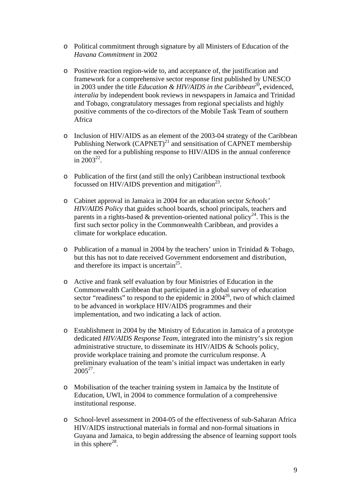- o Political commitment through signature by all Ministers of Education of the *Havana Commitment* in 2002
- o Positive reaction region-wide to, and acceptance of, the justification and framework for a comprehensive sector response first published by UNESCO in 2003 under the title *Education & HIV/AIDS in the Caribbean20***,** evidenced, *interalia* by independent book reviews in newspapers in Jamaica and Trinidad and Tobago, congratulatory messages from regional specialists and highly positive comments of the co-directors of the Mobile Task Team of southern Africa
- o Inclusion of HIV/AIDS as an element of the 2003-04 strategy of the Caribbean Publishing Network  $(CAPNET)^{21}$  and sensitisation of CAPNET membership on the need for a publishing response to HIV/AIDS in the annual conference in  $2003^{22}$
- o Publication of the first (and still the only) Caribbean instructional textbook focussed on HIV/AIDS prevention and mitigation<sup>23</sup>.
- o Cabinet approval in Jamaica in 2004 for an education sector *Schools' HIV/AIDS Policy* that guides school boards, school principals, teachers and parents in a rights-based & prevention-oriented national policy<sup>24</sup>. This is the first such sector policy in the Commonwealth Caribbean, and provides a climate for workplace education.
- o Publication of a manual in 2004 by the teachers' union in Trinidad & Tobago, but this has not to date received Government endorsement and distribution, and therefore its impact is uncertain<sup>25</sup>.
- o Active and frank self evaluation by four Ministries of Education in the Commonwealth Caribbean that participated in a global survey of education sector "readiness" to respond to the epidemic in  $2004^{26}$ , two of which claimed to be advanced in workplace HIV/AIDS programmes and their implementation, and two indicating a lack of action.
- o Establishment in 2004 by the Ministry of Education in Jamaica of a prototype dedicated *HIV/AIDS Response Team*, integrated into the ministry's six region administrative structure, to disseminate its HIV/AIDS & Schools policy, provide workplace training and promote the curriculum response. A preliminary evaluation of the team's initial impact was undertaken in early  $2005^{27}$
- o Mobilisation of the teacher training system in Jamaica by the Institute of Education, UWI, in 2004 to commence formulation of a comprehensive institutional response.
- o School-level assessment in 2004-05 of the effectiveness of sub-Saharan Africa HIV/AIDS instructional materials in formal and non-formal situations in Guyana and Jamaica, to begin addressing the absence of learning support tools in this sphere<sup>28</sup>.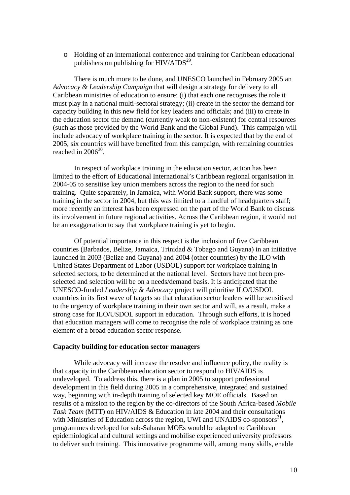o Holding of an international conference and training for Caribbean educational publishers on publishing for  $HIV/AIDS<sup>29</sup>$ .

 There is much more to be done, and UNESCO launched in February 2005 an *Advocacy & Leadership Campaign* that will design a strategy for delivery to all Caribbean ministries of education to ensure: (i) that each one recognises the role it must play in a national multi-sectoral strategy; (ii) create in the sector the demand for capacity building in this new field for key leaders and officials; and (iii) to create in the education sector the demand (currently weak to non-existent) for central resources (such as those provided by the World Bank and the Global Fund). This campaign will include advocacy of workplace training in the sector. It is expected that by the end of 2005, six countries will have benefited from this campaign, with remaining countries reached in  $2006^{30}$ .

 In respect of workplace training in the education sector, action has been limited to the effort of Educational International's Caribbean regional organisation in 2004-05 to sensitise key union members across the region to the need for such training. Quite separately, in Jamaica, with World Bank support, there was some training in the sector in 2004, but this was limited to a handful of headquarters staff; more recently an interest has been expressed on the part of the World Bank to discuss its involvement in future regional activities. Across the Caribbean region, it would not be an exaggeration to say that workplace training is yet to begin.

 Of potential importance in this respect is the inclusion of five Caribbean countries (Barbados, Belize, Jamaica, Trinidad & Tobago and Guyana) in an initiative launched in 2003 (Belize and Guyana) and 2004 (other countries) by the ILO with United States Department of Labor (USDOL) support for workplace training in selected sectors, to be determined at the national level. Sectors have not been preselected and selection will be on a needs/demand basis. It is anticipated that the UNESCO-funded *Leadership & Advocacy* project will prioritise ILO/USDOL countries in its first wave of targets so that education sector leaders will be sensitised to the urgency of workplace training in their own sector and will, as a result, make a strong case for ILO/USDOL support in education. Through such efforts, it is hoped that education managers will come to recognise the role of workplace training as one element of a broad education sector response.

# **Capacity building for education sector managers**

 While advocacy will increase the resolve and influence policy, the reality is that capacity in the Caribbean education sector to respond to HIV/AIDS is undeveloped. To address this, there is a plan in 2005 to support professional development in this field during 2005 in a comprehensive, integrated and sustained way, beginning with in-depth training of selected key MOE officials. Based on results of a mission to the region by the co-directors of the South Africa-based *Mobile Task Team* (MTT) on HIV/AIDS & Education in late 2004 and their consultations with Ministries of Education across the region, UWI and UNAIDS co-sponsors<sup>31</sup>, programmes developed for sub-Saharan MOEs would be adapted to Caribbean epidemiological and cultural settings and mobilise experienced university professors to deliver such training. This innovative programme will, among many skills, enable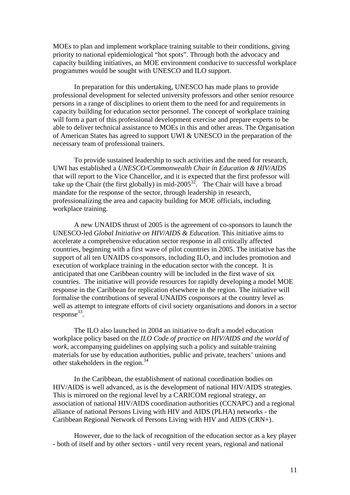MOEs to plan and implement workplace training suitable to their conditions, giving priority to national epidemiological "hot spots". Through both the advocacy and capacity building initiatives, an MOE environment conducive to successful workplace programmes would be sought with UNESCO and ILO support.

 In preparation for this undertaking, UNESCO has made plans to provide professional development for selected university professors and other senior resource persons in a range of disciplines to orient them to the need for and requirements in capacity building for education sector personnel. The concept of workplace training will form a part of this professional development exercise and prepare experts to be able to deliver technical assistance to MOEs in this and other areas. The Organisation of American States has agreed to support UWI & UNESCO in the preparation of the necessary team of professional trainers.

 To provide sustained leadership to such activities and the need for research, UWI has established a *UNESCO/Commonwealth Chair in Education & HIV/AIDS* that will report to the Vice Chancellor, and it is expected that the first professor will take up the Chair (the first globally) in mid-2005<sup>32</sup>. The Chair will have a broad mandate for the response of the sector, through leadership in research, professionalizing the area and capacity building for MOE officials, including workplace training.

 A new UNAIDS thrust of 2005 is the agreement of co-sponsors to launch the UNESCO-led *Global Initiative on HIV/AIDS & Education.* This initiative aims to accelerate a comprehensive education sector response in all critically affected countries, beginning with a first wave of pilot countries in 2005. The initiative has the support of all ten UNAIDS co-sponsors, including ILO, and includes promotion and execution of workplace training in the education sector with the concept. It is anticipated that one Caribbean country will be included in the first wave of six countries. The initiative will provide resources for rapidly developing a model MOE response in the Caribbean for replication elsewhere in the region. The initiative will formalise the contributions of several UNAIDS cosponsors at the country level as well as attempt to integrate efforts of civil society organisations and donors in a sector response<sup>33</sup>.

 The ILO also launched in 2004 an initiative to draft a model education workplace policy based on the *ILO Code of practice on HIV/AIDS and the world of work*, accompanying guidelines on applying such a policy and suitable training materials for use by education authorities, public and private, teachers' unions and other stakeholders in the region.34

 In the Caribbean, the establishment of national coordination bodies on HIV/AIDS is well advanced, as is the development of national HIV/AIDS strategies. This is mirrored on the regional level by a CARICOM regional strategy, an association of national HIV/AIDS coordination authorities (CCNAPC) and a regional alliance of national Persons Living with HIV and AIDS (PLHA) networks - the Caribbean Regional Network of Persons Living with HIV and AIDS (CRN+).

 However, due to the lack of recognition of the education sector as a key player - both of itself and by other sectors - until very recent years, regional and national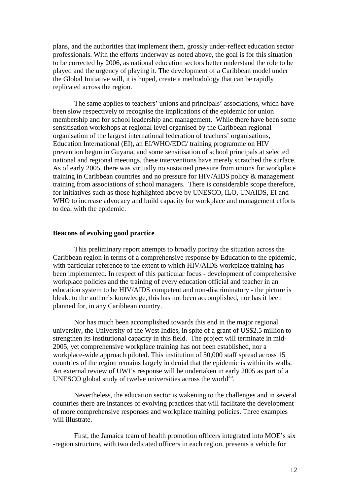plans, and the authorities that implement them, grossly under-reflect education sector professionals. With the efforts underway as noted above, the goal is for this situation to be corrected by 2006, as national education sectors better understand the role to be played and the urgency of playing it. The development of a Caribbean model under the Global Initiative will, it is hoped, create a methodology that can be rapidly replicated across the region.

 The same applies to teachers' unions and principals' associations, which have been slow respectively to recognise the implications of the epidemic for union membership and for school leadership and management. While there have been some sensitisation workshops at regional level organised by the Caribbean regional organisation of the largest international federation of teachers' organisations, Education International (EI), an EI/WHO/EDC/ training programme on HIV prevention begun in Guyana, and some sensitisation of school principals at selected national and regional meetings, these interventions have merely scratched the surface. As of early 2005, there was virtually no sustained pressure from unions for workplace training in Caribbean countries and no pressure for HIV/AIDS policy & management training from associations of school managers. There is considerable scope therefore, for initiatives such as those highlighted above by UNESCO, ILO, UNAIDS, EI and WHO to increase advocacy and build capacity for workplace and management efforts to deal with the epidemic.

# **Beacons of evolving good practice**

 This preliminary report attempts to broadly portray the situation across the Caribbean region in terms of a comprehensive response by Education to the epidemic, with particular reference to the extent to which HIV/AIDS workplace training has been implemented. In respect of this particular focus - development of comprehensive workplace policies and the training of every education official and teacher in an education system to be HIV/AIDS competent and non-discriminatory - the picture is bleak: to the author's knowledge, this has not been accomplished, nor has it been planned for, in any Caribbean country.

 Nor has much been accomplished towards this end in the major regional university, the University of the West Indies, in spite of a grant of US\$2.5 million to strengthen its institutional capacity in this field. The project will terminate in mid-2005, yet comprehensive workplace training has not been established, nor a workplace-wide approach piloted. This institution of 50,000 staff spread across 15 countries of the region remains largely in denial that the epidemic is within its walls. An external review of UWI's response will be undertaken in early 2005 as part of a UNESCO global study of twelve universities across the world<sup>35</sup>.

 Nevertheless, the education sector is wakening to the challenges and in several countries there are instances of evolving practices that will facilitate the development of more comprehensive responses and workplace training policies. Three examples will illustrate.

 First, the Jamaica team of health promotion officers integrated into MOE's six -region structure, with two dedicated officers in each region, presents a vehicle for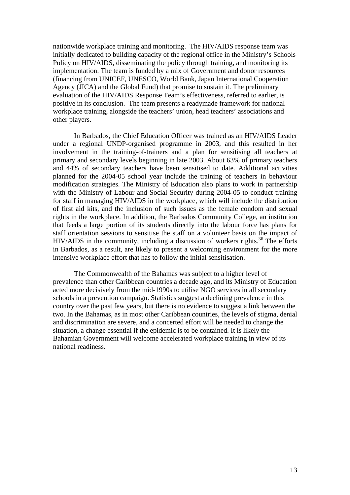nationwide workplace training and monitoring. The HIV/AIDS response team was initially dedicated to building capacity of the regional office in the Ministry's Schools Policy on HIV/AIDS, disseminating the policy through training, and monitoring its implementation. The team is funded by a mix of Government and donor resources (financing from UNICEF, UNESCO, World Bank, Japan International Cooperation Agency (JICA) and the Global Fund) that promise to sustain it. The preliminary evaluation of the HIV/AIDS Response Team's effectiveness, referred to earlier, is positive in its conclusion. The team presents a readymade framework for national workplace training, alongside the teachers' union, head teachers' associations and other players.

 In Barbados, the Chief Education Officer was trained as an HIV/AIDS Leader under a regional UNDP-organised programme in 2003, and this resulted in her involvement in the training-of-trainers and a plan for sensitising all teachers at primary and secondary levels beginning in late 2003. About 63% of primary teachers and 44% of secondary teachers have been sensitised to date. Additional activities planned for the 2004-05 school year include the training of teachers in behaviour modification strategies. The Ministry of Education also plans to work in partnership with the Ministry of Labour and Social Security during 2004-05 to conduct training for staff in managing HIV/AIDS in the workplace, which will include the distribution of first aid kits, and the inclusion of such issues as the female condom and sexual rights in the workplace. In addition, the Barbados Community College, an institution that feeds a large portion of its students directly into the labour force has plans for staff orientation sessions to sensitise the staff on a volunteer basis on the impact of  $HIV/AIDS$  in the community, including a discussion of workers rights.<sup>36</sup> The efforts in Barbados, as a result, are likely to present a welcoming environment for the more intensive workplace effort that has to follow the initial sensitisation.

 The Commonwealth of the Bahamas was subject to a higher level of prevalence than other Caribbean countries a decade ago, and its Ministry of Education acted more decisively from the mid-1990s to utilise NGO services in all secondary schools in a prevention campaign. Statistics suggest a declining prevalence in this country over the past few years, but there is no evidence to suggest a link between the two. In the Bahamas, as in most other Caribbean countries, the levels of stigma, denial and discrimination are severe, and a concerted effort will be needed to change the situation, a change essential if the epidemic is to be contained. It is likely the Bahamian Government will welcome accelerated workplace training in view of its national readiness.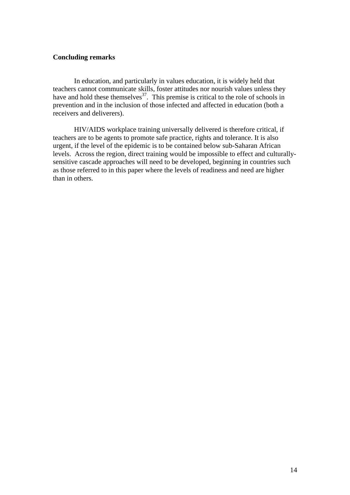# **Concluding remarks**

 In education, and particularly in values education, it is widely held that teachers cannot communicate skills, foster attitudes nor nourish values unless they have and hold these themselves $37$ . This premise is critical to the role of schools in prevention and in the inclusion of those infected and affected in education (both a receivers and deliverers).

 HIV/AIDS workplace training universally delivered is therefore critical, if teachers are to be agents to promote safe practice, rights and tolerance. It is also urgent, if the level of the epidemic is to be contained below sub-Saharan African levels. Across the region, direct training would be impossible to effect and culturallysensitive cascade approaches will need to be developed, beginning in countries such as those referred to in this paper where the levels of readiness and need are higher than in others.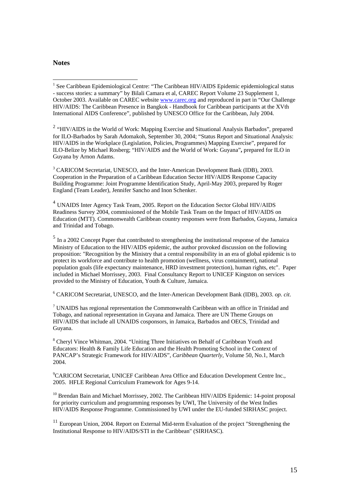# **Notes**

 $\overline{a}$ 

<sup>1</sup> See Caribbean Epidemiological Centre: "The Caribbean HIV/AIDS Epidemic epidemiological status - success stories: a summary" by Bilali Camara et al, CAREC Report Volume 23 Supplement 1, October 2003. Available on CAREC website www.carec.org and reproduced in part in "Our Challenge HIV/AIDS: The Caribbean Presence in Bangkok - Handbook for Caribbean participants at the XVth International AIDS Conference", published by UNESCO Office for the Caribbean, July 2004.

<sup>2</sup> "HIV/AIDS in the World of Work: Mapping Exercise and Situational Analysis Barbados", prepared for ILO-Barbados by Sarah Adomakoh, September 30, 2004; "Status Report and Situational Analysis: HIV/AIDS in the Workplace (Legislation, Policies, Programmes) Mapping Exercise", prepared for ILO-Belize by Michael Rosberg; "HIV/AIDS and the World of Work: Guyana"**,** prepared for ILO in Guyana by Arnon Adams.

<sup>3</sup> CARICOM Secretariat, UNESCO, and the Inter-American Development Bank (IDB), 2003. Cooperation in the Preparation of a Caribbean Education Sector HIV/AIDS Response Capacity Building Programme: Joint Programme Identification Study, April-May 2003, prepared by Roger England (Team Leader), Jennifer Sancho and Inon Schenker.

<sup>4</sup> UNAIDS Inter Agency Task Team, 2005. Report on the Education Sector Global HIV/AIDS Readiness Survey 2004, commissioned of the Mobile Task Team on the Impact of HIV/AIDS on Education (MTT). Commonwealth Caribbean country responses were from Barbados, Guyana, Jamaica and Trinidad and Tobago.

<sup>5</sup> In a 2002 Concept Paper that contributed to strengthening the institutional response of the Jamaica Ministry of Education to the HIV/AIDS epidemic, the author provoked discussion on the following proposition: "Recognition by the Ministry that a central responsibility in an era of global epidemic is to protect its workforce and contribute to health promotion (wellness, virus containment), national population goals (life expectancy maintenance, HRD investment protection), human rights, etc". Paper included in Michael Morrissey, 2003. Final Consultancy Report to UNICEF Kingston on services provided to the Ministry of Education, Youth & Culture, Jamaica.

6 CARICOM Secretariat, UNESCO, and the Inter-American Development Bank (IDB), 2003. *op. cit*.

 $7$  UNAIDS has regional representation the Commonwealth Caribbean with an office in Trinidad and Tobago, and national representation in Guyana and Jamaica. There are UN Theme Groups on HIV/AIDS that include all UNAIDS cosponsors, in Jamaica, Barbados and OECS, Trinidad and Guyana.

<sup>8</sup> Cheryl Vince Whitman, 2004. "Uniting Three Initiatives on Behalf of Caribbean Youth and Educators: Health & Family Life Education and the Health Promoting School in the Context of PANCAP's Strategic Framework for HIV/AIDS", *Caribbean Quarterly*, Volume 50, No.1, March 2004.

9 CARICOM Secretariat, UNICEF Caribbean Area Office and Education Development Centre Inc., 2005. HFLE Regional Curriculum Framework for Ages 9-14.

<sup>10</sup> Brendan Bain and Michael Morrissey, 2002. The Caribbean HIV/AIDS Epidemic: 14-point proposal for priority curriculum and programming responses by UWI, The University of the West Indies HIV/AIDS Response Programme. Commissioned by UWI under the EU-funded SIRHASC project.

<sup>11</sup> European Union, 2004. Report on External Mid-term Evaluation of the project "Strengthening the Institutional Response to HIV/AIDS/STI in the Caribbean" (SIRHASC).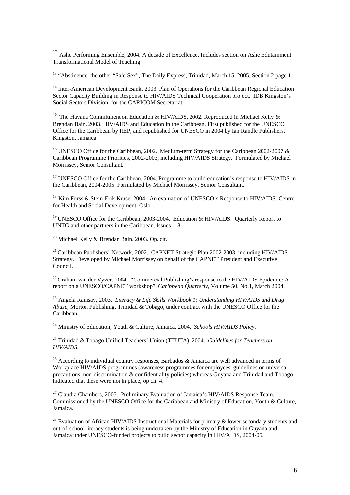<sup>12</sup> Ashe Performing Ensemble, 2004. A decade of Excellence. Includes section on Ashe Edutainment Transformational Model of Teaching.

<sup>13</sup> "Abstinence: the other "Safe Sex", The Daily Express, Trinidad, March 15, 2005, Section 2 page 1.

<sup>14</sup> Inter-American Development Bank, 2003. Plan of Operations for the Caribbean Regional Education Sector Capacity Building in Response to HIV/AIDS Technical Cooperation project. IDB Kingston's Social Sectors Division, for the CARICOM Secretariat.

<sup>15</sup> The Havana Commitment on Education & HIV/AIDS, 2002. Reproduced in Michael Kelly & Brendan Bain. 2003. HIV/AIDS and Education in the Caribbean. First published for the UNESCO Office for the Caribbean by IIEP, and republished for UNESCO in 2004 by Ian Randle Publishers, Kingston, Jamaica.

<sup>16</sup> UNESCO Office for the Caribbean, 2002. Medium-term Strategy for the Caribbean 2002-2007  $\&$ Caribbean Programme Priorities, 2002-2003, including HIV/AIDS Strategy. Formulated by Michael Morrissey, Senior Consultant.

 $17$  UNESCO Office for the Caribbean, 2004. Programme to build education's response to HIV/AIDS in the Caribbean, 2004-2005. Formulated by Michael Morrissey, Senior Consultant.

<sup>18</sup> Kim Forss & Stein-Erik Kruse, 2004. An evaluation of UNESCO's Response to HIV/AIDS. Centre for Health and Social Development, Oslo.

<sup>19</sup> UNESCO Office for the Caribbean, 2003-2004. Education & HIV/AIDS: Quarterly Report to UNTG and other partners in the Caribbean. Issues 1-8.

 $20$  Michael Kelly & Brendan Bain. 2003. Op. cit.

<sup>21</sup> Caribbean Publishers' Network, 2002. CAPNET Strategic Plan 2002-2003, including HIV/AIDS Strategy. Developed by Michael Morrissey on behalf of the CAPNET President and Executive Council.

 $^{22}$  Graham van der Vyver. 2004. "Commercial Publishing's response to the HIV/AIDS Epidemic: A report on a UNESCO/CAPNET workshop", *Caribbean Quarterly*, Volume 50, No.1, March 2004.

<sup>23</sup> Angela Ramsay, 2003. *Literacy & Life Skills Workbook 1: Understanding HIV/AIDS and Drug Abuse*, Morton Publishing, Trinidad & Tobago, under contract with the UNESCO Office for the Caribbean.

24 Ministry of Education, Youth & Culture, Jamaica. 2004. *Schools HIV/AIDS Policy*.

25 Trinidad & Tobago Unified Teachers' Union (TTUTA), 2004. *Guidelines for Teachers on HIV/AIDS*.

<sup>26</sup> According to individual country responses, Barbados & Jamaica are well advanced in terms of Workplace HIV/AIDS programmes (awareness programmes for employees, guidelines on universal precautions, non-discrimination & confidentiality policies) whereas Guyana and Trinidad and Tobago indicated that these were not in place, op cit, 4.

 $27$  Claudia Chambers, 2005. Preliminary Evaluation of Jamaica's HIV/AIDS Response Team. Commissioned by the UNESCO Office for the Caribbean and Ministry of Education, Youth & Culture, Jamaica.

<sup>28</sup> Evaluation of African HIV/AIDS Instructional Materials for primary  $\&$  lower secondary students and out-of-school literacy students is being undertaken by the Ministry of Education in Guyana and Jamaica under UNESCO-funded projects to build sector capacity in HIV/AIDS, 2004-05.